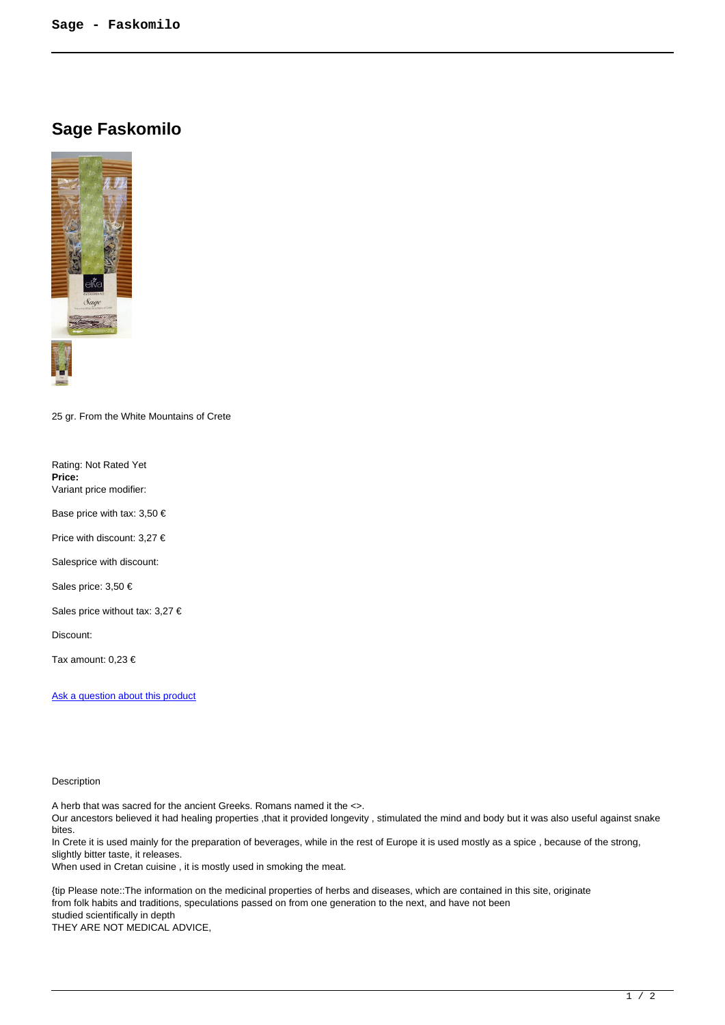## **Sage Faskomilo**



25 gr. From the White Mountains of Crete

Rating: Not Rated Yet **Price:**  Variant price modifier:

Base price with tax:  $3,50 \in$ 

Price with discount: 3,27 €

Salesprice with discount:

Sales price: 3,50 €

Sales price without tax: 3,27 €

Discount:

Tax amount: 0,23 €

Ask a question about this product

## Description

A herb that was sacred for the ancient Greeks. Romans named it the <>.

Our ancestors believed it had healing properties ,that it provided longevity , stimulated the mind and body but it was also useful against snake bites.

In Crete it is used mainly for the preparation of beverages, while in the rest of Europe it is used mostly as a spice , because of the strong, slightly bitter taste, it releases.

When used in Cretan cuisine, it is mostly used in smoking the meat.

{tip Please note::The information on the medicinal properties of herbs and diseases, which are contained in this site, originate from folk habits and traditions, speculations passed on from one generation to the next, and have not been studied scientifically in depth

THEY ARE NOT MEDICAL ADVICE,